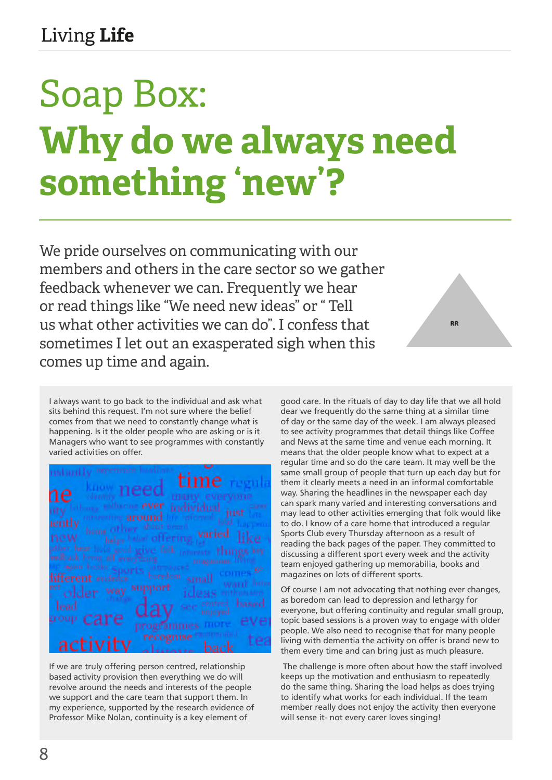## Soap Box: **Why do we always need something 'new'?**

We pride ourselves on communicating with our members and others in the care sector so we gather feedback whenever we can. Frequently we hear or read things like "We need new ideas" or " Tell us what other activities we can do". I confess that sometimes I let out an exasperated sigh when this comes up time and again.

**RR** 

I always want to go back to the individual and ask what sits behind this request. I'm not sure where the belief comes from that we need to constantly change what is happening. Is it the older people who are asking or is it Managers who want to see programmes with constantly varied activities on offer.

If we are truly offering person centred, relationship based activity provision then everything we do will revolve around the needs and interests of the people we support and the care team that support them. In my experience, supported by the research evidence of Professor Mike Nolan, continuity is a key element of

good care. In the rituals of day to day life that we all hold dear we frequently do the same thing at a similar time of day or the same day of the week. I am always pleased to see activity programmes that detail things like Coffee and News at the same time and venue each morning. It means that the older people know what to expect at a regular time and so do the care team. It may well be the same small group of people that turn up each day but for them it clearly meets a need in an informal comfortable way. Sharing the headlines in the newspaper each day can spark many varied and interesting conversations and may lead to other activities emerging that folk would like to do. I know of a care home that introduced a regular Sports Club every Thursday afternoon as a result of reading the back pages of the paper. They committed to discussing a different sport every week and the activity team enjoyed gathering up memorabilia, books and magazines on lots of different sports.

Of course I am not advocating that nothing ever changes, as boredom can lead to depression and lethargy for everyone, but offering continuity and regular small group, topic based sessions is a proven way to engage with older people. We also need to recognise that for many people living with dementia the activity on offer is brand new to them every time and can bring just as much pleasure.

 The challenge is more often about how the staff involved keeps up the motivation and enthusiasm to repeatedly do the same thing. Sharing the load helps as does trying to identify what works for each individual. If the team member really does not enjoy the activity then everyone will sense it- not every carer loves singing!